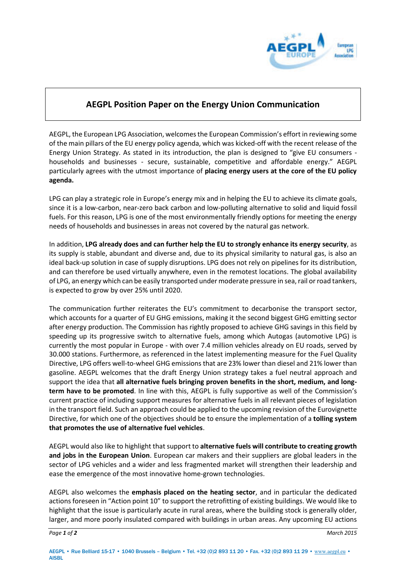

## **AEGPL Position Paper on the Energy Union Communication**

AEGPL, the European LPG Association, welcomes the European Commission's effort in reviewing some of the main pillars of the EU energy policy agenda, which was kicked-off with the recent release of the Energy Union Strategy. As stated in its introduction, the plan is designed to "give EU consumers households and businesses - secure, sustainable, competitive and affordable energy." AEGPL particularly agrees with the utmost importance of **placing energy users at the core of the EU policy agenda.** 

LPG can play a strategic role in Europe's energy mix and in helping the EU to achieve its climate goals, since it is a low-carbon, near-zero back carbon and low-polluting alternative to solid and liquid fossil fuels. For this reason, LPG is one of the most environmentally friendly options for meeting the energy needs of households and businesses in areas not covered by the natural gas network.

In addition, **LPG already does and can further help the EU to strongly enhance its energy security**, as its supply is stable, abundant and diverse and, due to its physical similarity to natural gas, is also an ideal back-up solution in case of supply disruptions. LPG does not rely on pipelines for its distribution, and can therefore be used virtually anywhere, even in the remotest locations. The global availability of LPG, an energy which can be easily transported under moderate pressure in sea, rail or road tankers, is expected to grow by over 25% until 2020.

The communication further reiterates the EU's commitment to decarbonise the transport sector, which accounts for a quarter of EU GHG emissions, making it the second biggest GHG emitting sector after energy production. The Commission has rightly proposed to achieve GHG savings in this field by speeding up its progressive switch to alternative fuels, among which Autogas (automotive LPG) is currently the most popular in Europe - with over 7.4 million vehicles already on EU roads, served by 30.000 stations. Furthermore, as referenced in the latest implementing measure for the Fuel Quality Directive, LPG offers well-to-wheel GHG emissions that are 23% lower than diesel and 21% lower than gasoline. AEGPL welcomes that the draft Energy Union strategy takes a fuel neutral approach and support the idea that **all alternative fuels bringing proven benefits in the short, medium, and longterm have to be promoted**. In line with this, AEGPL is fully supportive as well of the Commission's current practice of including support measures for alternative fuels in all relevant pieces of legislation in the transport field. Such an approach could be applied to the upcoming revision of the Eurovignette Directive, for which one of the objectives should be to ensure the implementation of a **tolling system that promotes the use of alternative fuel vehicles**.

AEGPL would also like to highlight that support to **alternative fuels will contribute to creating growth and jobs in the European Union**. European car makers and their suppliers are global leaders in the sector of LPG vehicles and a wider and less fragmented market will strengthen their leadership and ease the emergence of the most innovative home-grown technologies.

AEGPL also welcomes the **emphasis placed on the heating sector**, and in particular the dedicated actions foreseen in "Action point 10" to support the retrofitting of existing buildings. We would like to highlight that the issue is particularly acute in rural areas, where the building stock is generally older, larger, and more poorly insulated compared with buildings in urban areas. Any upcoming EU actions